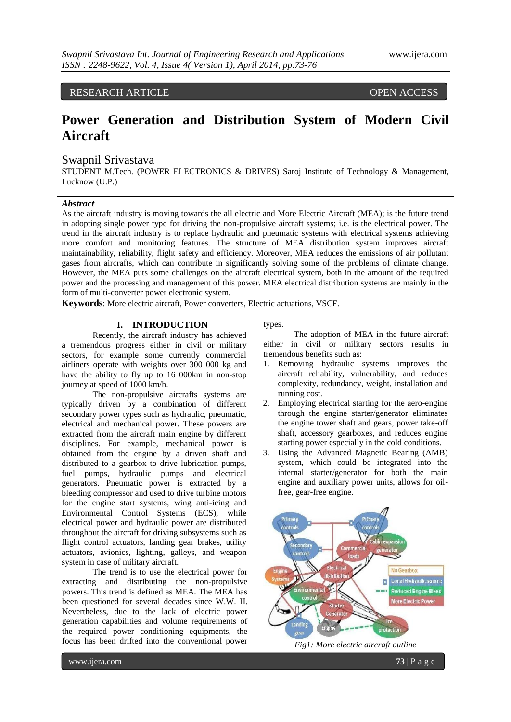RESEARCH ARTICLE **CONSERVERS** 

# **Power Generation and Distribution System of Modern Civil Aircraft**

# Swapnil Srivastava

STUDENT M.Tech. (POWER ELECTRONICS & DRIVES) Saroj Institute of Technology & Management, Lucknow (U.P.)

# *Abstract*

As the aircraft industry is moving towards the all electric and More Electric Aircraft (MEA); is the future trend in adopting single power type for driving the non-propulsive aircraft systems; i.e. is the electrical power. The trend in the aircraft industry is to replace hydraulic and pneumatic systems with electrical systems achieving more comfort and monitoring features. The structure of MEA distribution system improves aircraft maintainability, reliability, flight safety and efficiency. Moreover, MEA reduces the emissions of air pollutant gases from aircrafts, which can contribute in significantly solving some of the problems of climate change. However, the MEA puts some challenges on the aircraft electrical system, both in the amount of the required power and the processing and management of this power. MEA electrical distribution systems are mainly in the form of multi-converter power electronic system.

**Keywords**: More electric aircraft, Power converters, Electric actuations, VSCF.

## **I. INTRODUCTION**

Recently, the aircraft industry has achieved a tremendous progress either in civil or military sectors, for example some currently commercial airliners operate with weights over 300 000 kg and have the ability to fly up to 16 000km in non-stop journey at speed of 1000 km/h.

The non-propulsive aircrafts systems are typically driven by a combination of different secondary power types such as hydraulic, pneumatic, electrical and mechanical power. These powers are extracted from the aircraft main engine by different disciplines. For example, mechanical power is obtained from the engine by a driven shaft and distributed to a gearbox to drive lubrication pumps, fuel pumps, hydraulic pumps and electrical generators. Pneumatic power is extracted by a bleeding compressor and used to drive turbine motors for the engine start systems, wing anti-icing and Environmental Control Systems (ECS), while electrical power and hydraulic power are distributed throughout the aircraft for driving subsystems such as flight control actuators, landing gear brakes, utility actuators, avionics, lighting, galleys, and weapon system in case of military aircraft.

The trend is to use the electrical power for extracting and distributing the non-propulsive powers. This trend is defined as MEA. The MEA has been questioned for several decades since W.W. II. Nevertheless, due to the lack of electric power generation capabilities and volume requirements of the required power conditioning equipments, the focus has been drifted into the conventional power

types.

The adoption of MEA in the future aircraft either in civil or military sectors results in tremendous benefits such as:

- 1. Removing hydraulic systems improves the aircraft reliability, vulnerability, and reduces complexity, redundancy, weight, installation and running cost.
- 2. Employing electrical starting for the aero-engine through the engine starter/generator eliminates the engine tower shaft and gears, power take-off shaft, accessory gearboxes, and reduces engine starting power especially in the cold conditions.
- 3. Using the Advanced Magnetic Bearing (AMB) system, which could be integrated into the internal starter/generator for both the main engine and auxiliary power units, allows for oilfree, gear-free engine.



*Fig1: More electric aircraft outline*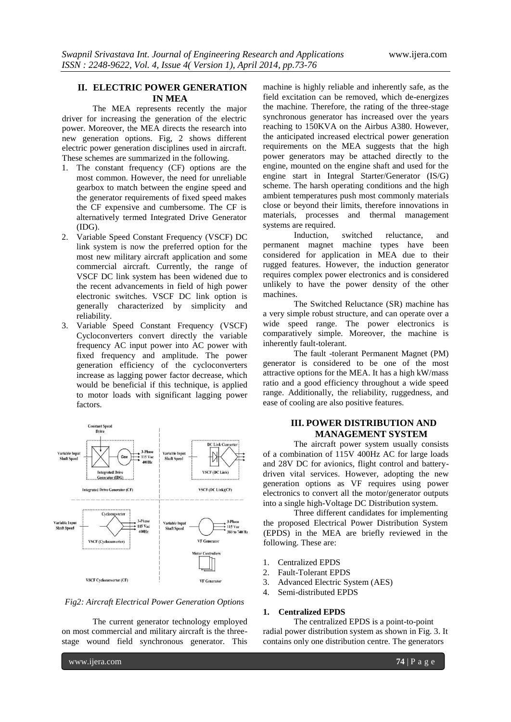# **II. ELECTRIC POWER GENERATION IN MEA**

The MEA represents recently the major driver for increasing the generation of the electric power. Moreover, the MEA directs the research into new generation options. Fig, 2 shows different electric power generation disciplines used in aircraft. These schemes are summarized in the following.

- 1. The constant frequency (CF) options are the most common. However, the need for unreliable gearbox to match between the engine speed and the generator requirements of fixed speed makes the CF expensive and cumbersome. The CF is alternatively termed Integrated Drive Generator (IDG).
- 2. Variable Speed Constant Frequency (VSCF) DC link system is now the preferred option for the most new military aircraft application and some commercial aircraft. Currently, the range of VSCF DC link system has been widened due to the recent advancements in field of high power electronic switches. VSCF DC link option is generally characterized by simplicity and reliability.
- 3. Variable Speed Constant Frequency (VSCF) Cycloconverters convert directly the variable frequency AC input power into AC power with fixed frequency and amplitude. The power generation efficiency of the cycloconverters increase as lagging power factor decrease, which would be beneficial if this technique, is applied to motor loads with significant lagging power factors.



#### *Fig2: Aircraft Electrical Power Generation Options*

The current generator technology employed on most commercial and military aircraft is the threestage wound field synchronous generator. This

machine is highly reliable and inherently safe, as the field excitation can be removed, which de-energizes the machine. Therefore, the rating of the three-stage synchronous generator has increased over the years reaching to 150KVA on the Airbus A380. However, the anticipated increased electrical power generation requirements on the MEA suggests that the high power generators may be attached directly to the engine, mounted on the engine shaft and used for the engine start in Integral Starter/Generator (IS/G) scheme. The harsh operating conditions and the high ambient temperatures push most commonly materials close or beyond their limits, therefore innovations in materials, processes and thermal management systems are required.

Induction, switched reluctance, and permanent magnet machine types have been considered for application in MEA due to their rugged features. However, the induction generator requires complex power electronics and is considered unlikely to have the power density of the other machines.

The Switched Reluctance (SR) machine has a very simple robust structure, and can operate over a wide speed range. The power electronics is comparatively simple. Moreover, the machine is inherently fault-tolerant.

The fault -tolerant Permanent Magnet (PM) generator is considered to be one of the most attractive options for the MEA. It has a high kW/mass ratio and a good efficiency throughout a wide speed range. Additionally, the reliability, ruggedness, and ease of cooling are also positive features.

# **III. POWER DISTRIBUTION AND MANAGEMENT SYSTEM**

The aircraft power system usually consists of a combination of 115V 400Hz AC for large loads and 28V DC for avionics, flight control and batterydriven vital services. However, adopting the new generation options as VF requires using power electronics to convert all the motor/generator outputs into a single high-Voltage DC Distribution system.

Three different candidates for implementing the proposed Electrical Power Distribution System (EPDS) in the MEA are briefly reviewed in the following. These are:

- 1. Centralized EPDS
- 2. Fault-Tolerant EPDS
- 3. Advanced Electric System (AES)
- 4. Semi-distributed EPDS

#### **1. Centralized EPDS**

The centralized EPDS is a point-to-point radial power distribution system as shown in Fig. 3. It contains only one distribution centre. The generators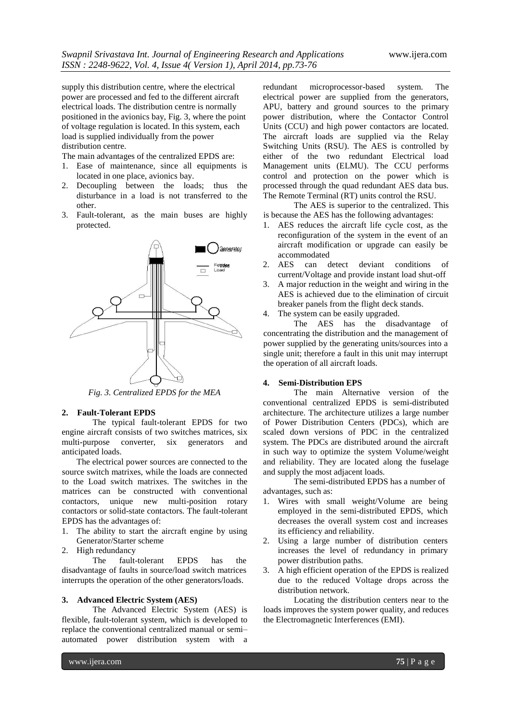supply this distribution centre, where the electrical power are processed and fed to the different aircraft electrical loads. The distribution centre is normally positioned in the avionics bay, Fig. 3, where the point of voltage regulation is located. In this system, each load is supplied individually from the power distribution centre.

The main advantages of the centralized EPDS are:

- 1. Ease of maintenance, since all equipments is located in one place, avionics bay.
- 2. Decoupling between the loads; thus the disturbance in a load is not transferred to the other.
- 3. Fault-tolerant, as the main buses are highly protected.



*Fig. 3. Centralized EPDS for the MEA*

## **2. Fault-Tolerant EPDS**

The typical fault-tolerant EPDS for two engine aircraft consists of two switches matrices, six multi-purpose converter, six generators and anticipated loads.

The electrical power sources are connected to the source switch matrixes, while the loads are connected to the Load switch matrixes. The switches in the matrices can be constructed with conventional contactors, unique new multi-position rotary contactors or solid-state contactors. The fault-tolerant EPDS has the advantages of:

- 1. The ability to start the aircraft engine by using Generator/Starter scheme
- 2. High redundancy

The fault-tolerant EPDS has the disadvantage of faults in source/load switch matrices interrupts the operation of the other generators/loads.

#### **3. Advanced Electric System (AES)**

The Advanced Electric System (AES) is flexible, fault-tolerant system, which is developed to replace the conventional centralized manual or semi– automated power distribution system with a

redundant microprocessor-based system. The electrical power are supplied from the generators, APU, battery and ground sources to the primary power distribution, where the Contactor Control Units (CCU) and high power contactors are located. The aircraft loads are supplied via the Relay Switching Units (RSU). The AES is controlled by either of the two redundant Electrical load Management units (ELMU). The CCU performs control and protection on the power which is processed through the quad redundant AES data bus. The Remote Terminal (RT) units control the RSU.

The AES is superior to the centralized. This is because the AES has the following advantages:

- 1. AES reduces the aircraft life cycle cost, as the reconfiguration of the system in the event of an aircraft modification or upgrade can easily be accommodated
- 2. AES can detect deviant conditions of current/Voltage and provide instant load shut-off
- 3. A major reduction in the weight and wiring in the AES is achieved due to the elimination of circuit breaker panels from the flight deck stands.
- 4. The system can be easily upgraded.

The AES has the disadvantage of concentrating the distribution and the management of power supplied by the generating units/sources into a single unit; therefore a fault in this unit may interrupt the operation of all aircraft loads.

#### **4. Semi-Distribution EPS**

The main Alternative version of the conventional centralized EPDS is semi-distributed architecture. The architecture utilizes a large number of Power Distribution Centers (PDCs), which are scaled down versions of PDC in the centralized system. The PDCs are distributed around the aircraft in such way to optimize the system Volume/weight and reliability. They are located along the fuselage and supply the most adjacent loads.

The semi-distributed EPDS has a number of advantages, such as:

- 1. Wires with small weight/Volume are being employed in the semi-distributed EPDS, which decreases the overall system cost and increases its efficiency and reliability.
- 2. Using a large number of distribution centers increases the level of redundancy in primary power distribution paths.
- 3. A high efficient operation of the EPDS is realized due to the reduced Voltage drops across the distribution network.

Locating the distribution centers near to the loads improves the system power quality, and reduces the Electromagnetic Interferences (EMI).